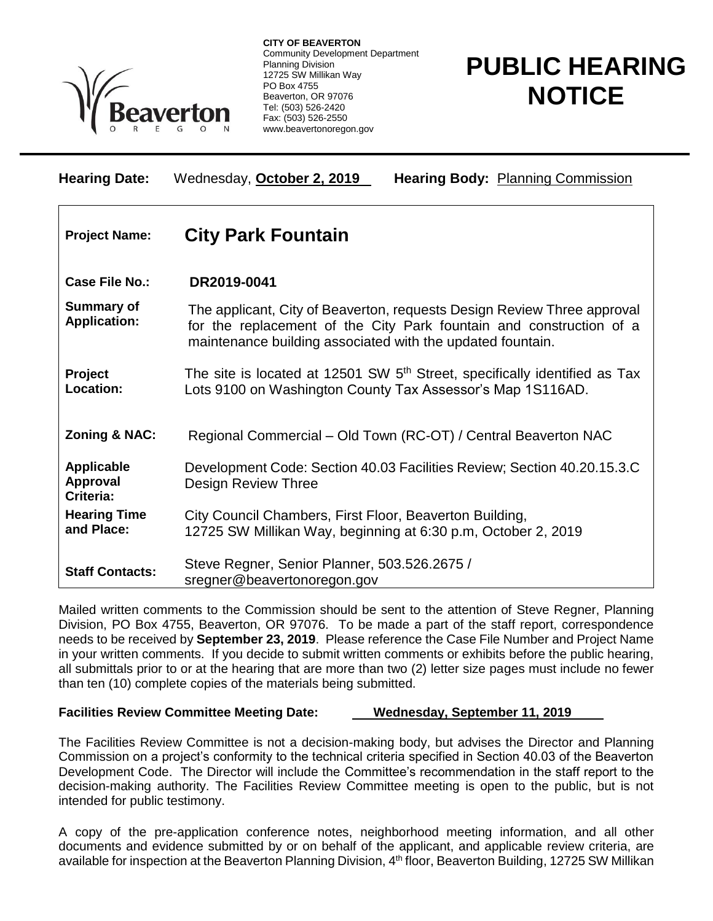

**CITY OF BEAVERTON** Community Development Department Planning Division 12725 SW Millikan Way PO Box 4755 Beaverton, OR 97076 Tel: (503) 526-2420 Fax: (503) 526-2550 www.beavertonoregon.gov

## **PUBLIC HEARING NOTICE**

| <b>Hearing Date:</b>                       | Wednesday, October 2, 2019<br><b>Hearing Body: Planning Commission</b>                                                                                                                                       |
|--------------------------------------------|--------------------------------------------------------------------------------------------------------------------------------------------------------------------------------------------------------------|
| <b>Project Name:</b>                       | <b>City Park Fountain</b>                                                                                                                                                                                    |
| <b>Case File No.:</b>                      | DR2019-0041                                                                                                                                                                                                  |
| <b>Summary of</b><br><b>Application:</b>   | The applicant, City of Beaverton, requests Design Review Three approval<br>for the replacement of the City Park fountain and construction of a<br>maintenance building associated with the updated fountain. |
| Project<br>Location:                       | The site is located at 12501 SW 5 <sup>th</sup> Street, specifically identified as Tax<br>Lots 9100 on Washington County Tax Assessor's Map 1S116AD.                                                         |
| <b>Zoning &amp; NAC:</b>                   | Regional Commercial - Old Town (RC-OT) / Central Beaverton NAC                                                                                                                                               |
| Applicable<br><b>Approval</b><br>Criteria: | Development Code: Section 40.03 Facilities Review; Section 40.20.15.3.C<br>Design Review Three                                                                                                               |
| <b>Hearing Time</b><br>and Place:          | City Council Chambers, First Floor, Beaverton Building,<br>12725 SW Millikan Way, beginning at 6:30 p.m, October 2, 2019                                                                                     |
| <b>Staff Contacts:</b>                     | Steve Regner, Senior Planner, 503.526.2675 /<br>sregner@beavertonoregon.gov                                                                                                                                  |

Mailed written comments to the Commission should be sent to the attention of Steve Regner, Planning Division, PO Box 4755, Beaverton, OR 97076. To be made a part of the staff report, correspondence needs to be received by **September 23, 2019**. Please reference the Case File Number and Project Name in your written comments. If you decide to submit written comments or exhibits before the public hearing, all submittals prior to or at the hearing that are more than two (2) letter size pages must include no fewer than ten (10) complete copies of the materials being submitted.

## **Facilities Review Committee Meeting Date: Wednesday, September 11, 2019**

The Facilities Review Committee is not a decision-making body, but advises the Director and Planning Commission on a project's conformity to the technical criteria specified in Section 40.03 of the Beaverton Development Code. The Director will include the Committee's recommendation in the staff report to the decision-making authority. The Facilities Review Committee meeting is open to the public, but is not intended for public testimony.

A copy of the pre-application conference notes, neighborhood meeting information, and all other documents and evidence submitted by or on behalf of the applicant, and applicable review criteria, are available for inspection at the Beaverton Planning Division, 4<sup>th</sup> floor, Beaverton Building, 12725 SW Millikan